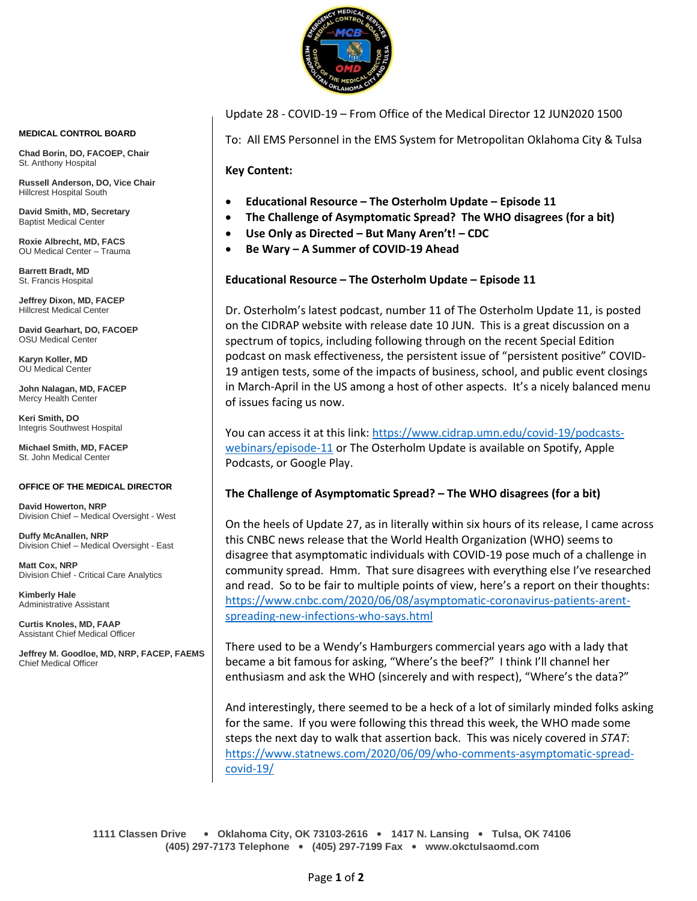

**MEDICAL CONTROL BOARD**

**Chad Borin, DO, FACOEP, Chair**  St. Anthony Hospital

**Russell Anderson, DO, Vice Chair** Hillcrest Hospital South

**David Smith, MD, Secretary** Baptist Medical Center

**Roxie Albrecht, MD, FACS** OU Medical Center – Trauma

**Barrett Bradt, MD** St. Francis Hospital

**Jeffrey Dixon, MD, FACEP** Hillcrest Medical Center

**David Gearhart, DO, FACOEP** OSU Medical Center

**Karyn Koller, MD** OU Medical Center

**John Nalagan, MD, FACEP** Mercy Health Center

**Keri Smith, DO** Integris Southwest Hospital

**Michael Smith, MD, FACEP** St. John Medical Center

#### **OFFICE OF THE MEDICAL DIRECTOR**

**David Howerton, NRP** Division Chief – Medical Oversight - West

**Duffy McAnallen, NRP** Division Chief – Medical Oversight - East

**Matt Cox, NRP** Division Chief - Critical Care Analytics

**Kimberly Hale** Administrative Assistant

**Curtis Knoles, MD, FAAP** Assistant Chief Medical Officer

**Jeffrey M. Goodloe, MD, NRP, FACEP, FAEMS** Chief Medical Officer

#### Update 28 - COVID-19 – From Office of the Medical Director 12 JUN2020 1500

To: All EMS Personnel in the EMS System for Metropolitan Oklahoma City & Tulsa

**Key Content:**

- **Educational Resource – The Osterholm Update – Episode 11**
- **The Challenge of Asymptomatic Spread? The WHO disagrees (for a bit)**
- **Use Only as Directed – But Many Aren't! – CDC**
- **Be Wary – A Summer of COVID-19 Ahead**

### **Educational Resource – The Osterholm Update – Episode 11**

Dr. Osterholm's latest podcast, number 11 of The Osterholm Update 11, is posted on the CIDRAP website with release date 10 JUN. This is a great discussion on a spectrum of topics, including following through on the recent Special Edition podcast on mask effectiveness, the persistent issue of "persistent positive" COVID-19 antigen tests, some of the impacts of business, school, and public event closings in March-April in the US among a host of other aspects. It's a nicely balanced menu of issues facing us now.

You can access it at this link: [https://www.cidrap.umn.edu/covid-19/podcasts](https://www.cidrap.umn.edu/covid-19/podcasts-webinars/episode-11)[webinars/episode-11](https://www.cidrap.umn.edu/covid-19/podcasts-webinars/episode-11) or The Osterholm Update is available on Spotify, Apple Podcasts, or Google Play.

#### **The Challenge of Asymptomatic Spread? – The WHO disagrees (for a bit)**

On the heels of Update 27, as in literally within six hours of its release, I came across this CNBC news release that the World Health Organization (WHO) seems to disagree that asymptomatic individuals with COVID-19 pose much of a challenge in community spread. Hmm. That sure disagrees with everything else I've researched and read. So to be fair to multiple points of view, here's a report on their thoughts: [https://www.cnbc.com/2020/06/08/asymptomatic-coronavirus-patients-arent](https://www.cnbc.com/2020/06/08/asymptomatic-coronavirus-patients-arent-spreading-new-infections-who-says.html)[spreading-new-infections-who-says.html](https://www.cnbc.com/2020/06/08/asymptomatic-coronavirus-patients-arent-spreading-new-infections-who-says.html)

There used to be a Wendy's Hamburgers commercial years ago with a lady that became a bit famous for asking, "Where's the beef?" I think I'll channel her enthusiasm and ask the WHO (sincerely and with respect), "Where's the data?"

And interestingly, there seemed to be a heck of a lot of similarly minded folks asking for the same. If you were following this thread this week, the WHO made some steps the next day to walk that assertion back. This was nicely covered in *STAT*: [https://www.statnews.com/2020/06/09/who-comments-asymptomatic-spread](https://www.statnews.com/2020/06/09/who-comments-asymptomatic-spread-covid-19/)[covid-19/](https://www.statnews.com/2020/06/09/who-comments-asymptomatic-spread-covid-19/)

**1111 Classen Drive** • **Oklahoma City, OK 73103-2616** • **1417 N. Lansing** • **Tulsa, OK 74106 (405) 297-7173 Telephone** • **(405) 297-7199 Fax** • **www.okctulsaomd.com**